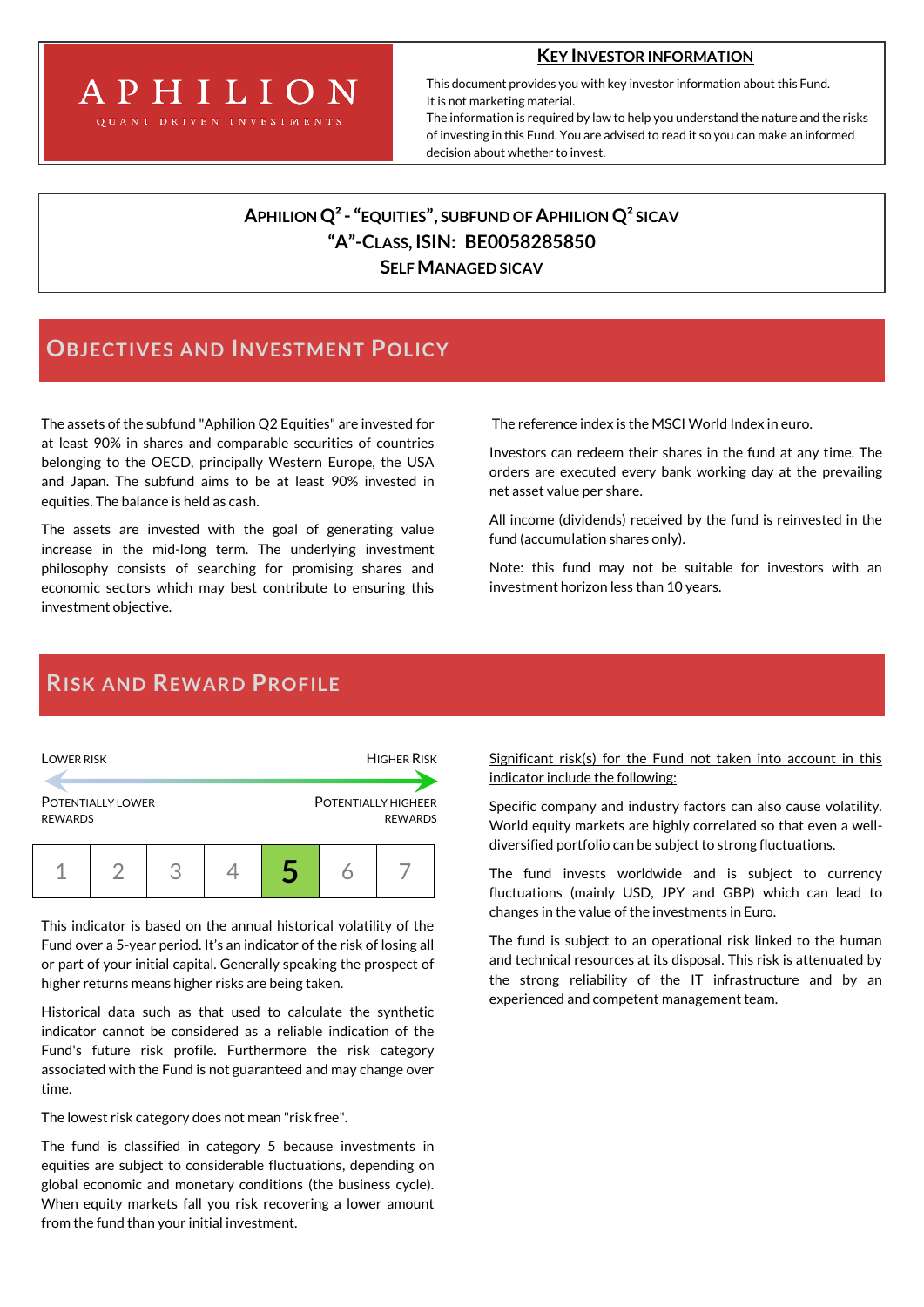# APHILION

**KEY INVESTOR INFORMATION** This document provides you with key investor information about this Fund. It is not marketing material.

The information is required by law to help you understand the nature and the risks of investing in this Fund. You are advised to read it so you can make an informed decision about whether to invest.

### **APHILION Q²-"EQUITIES", SUBFUND OF APHILION Q² SICAV "A"-CLASS,ISIN: BE0058285850 SELF MANAGED SICAV**

## **OBJECTIVES AND INVESTMENT POLICY**

The assets of the subfund "Aphilion Q2 Equities" are invested for at least 90% in shares and comparable securities of countries belonging to the OECD, principally Western Europe, the USA and Japan. The subfund aims to be at least 90% invested in equities. The balance is held as cash.

The assets are invested with the goal of generating value increase in the mid-long term. The underlying investment philosophy consists of searching for promising shares and economic sectors which may best contribute to ensuring this investment objective.

The reference index is the MSCI World Index in euro.

Investors can redeem their shares in the fund at any time. The orders are executed every bank working day at the prevailing net asset value per share.

All income (dividends) received by the fund is reinvested in the fund (accumulation shares only).

Note: this fund may not be suitable for investors with an investment horizon less than 10 years.

### **RISK AND REWARD PROFILE**



This indicator is based on the annual historical volatility of the Fund over a 5-year period. It's an indicator of the risk of losing all or part of your initial capital. Generally speaking the prospect of higher returns means higher risks are being taken.

Historical data such as that used to calculate the synthetic indicator cannot be considered as a reliable indication of the Fund's future risk profile. Furthermore the risk category associated with the Fund is not guaranteed and may change over time.

The lowest risk category does not mean "risk free".

The fund is classified in category 5 because investments in equities are subject to considerable fluctuations, depending on global economic and monetary conditions (the business cycle). When equity markets fall you risk recovering a lower amount from the fund than your initial investment.

Significant risk(s) for the Fund not taken into account in this indicator include the following:

Specific company and industry factors can also cause volatility. World equity markets are highly correlated so that even a welldiversified portfolio can be subject to strong fluctuations.

The fund invests worldwide and is subject to currency fluctuations (mainly USD, JPY and GBP) which can lead to changes in the value of the investments in Euro.

The fund is subject to an operational risk linked to the human and technical resources at its disposal. This risk is attenuated by the strong reliability of the IT infrastructure and by an experienced and competent management team.